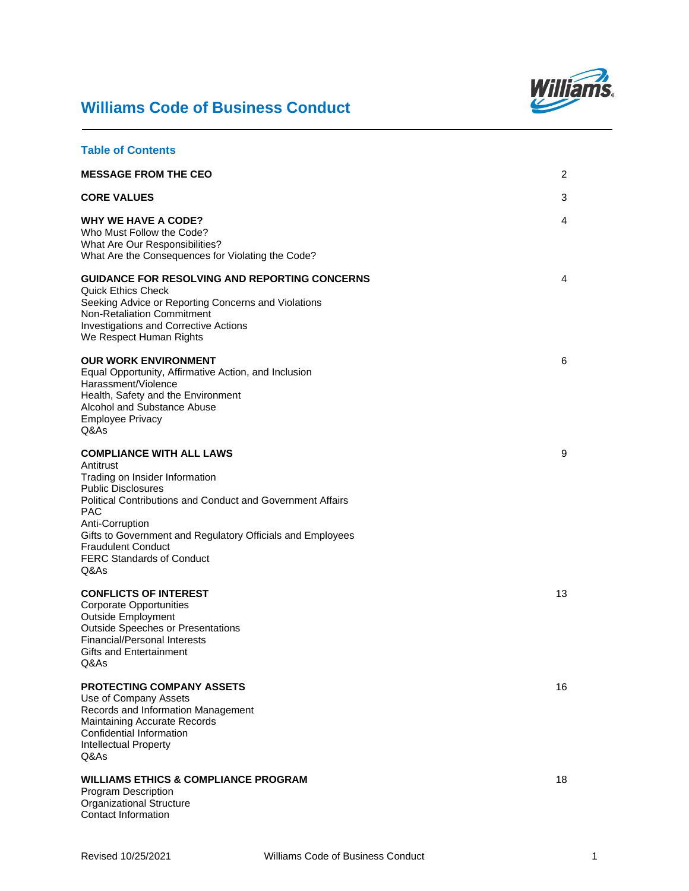# **Williams Code of Business Conduct**



| <b>Table of Contents</b>                                                                                                                                                                                                                                                                                                                                 |    |
|----------------------------------------------------------------------------------------------------------------------------------------------------------------------------------------------------------------------------------------------------------------------------------------------------------------------------------------------------------|----|
| <b>MESSAGE FROM THE CEO</b>                                                                                                                                                                                                                                                                                                                              | 2  |
| <b>CORE VALUES</b>                                                                                                                                                                                                                                                                                                                                       | 3  |
| <b>WHY WE HAVE A CODE?</b><br>Who Must Follow the Code?<br>What Are Our Responsibilities?<br>What Are the Consequences for Violating the Code?                                                                                                                                                                                                           | 4  |
| <b>GUIDANCE FOR RESOLVING AND REPORTING CONCERNS</b><br><b>Quick Ethics Check</b><br>Seeking Advice or Reporting Concerns and Violations<br>Non-Retaliation Commitment<br><b>Investigations and Corrective Actions</b><br>We Respect Human Rights                                                                                                        | 4  |
| <b>OUR WORK ENVIRONMENT</b><br>Equal Opportunity, Affirmative Action, and Inclusion<br>Harassment/Violence<br>Health, Safety and the Environment<br>Alcohol and Substance Abuse<br><b>Employee Privacy</b><br>Q&As                                                                                                                                       | 6  |
| <b>COMPLIANCE WITH ALL LAWS</b><br>Antitrust<br>Trading on Insider Information<br><b>Public Disclosures</b><br><b>Political Contributions and Conduct and Government Affairs</b><br><b>PAC</b><br>Anti-Corruption<br>Gifts to Government and Regulatory Officials and Employees<br><b>Fraudulent Conduct</b><br><b>FERC Standards of Conduct</b><br>Q&As | 9  |
| <b>CONFLICTS OF INTEREST</b><br><b>Corporate Opportunities</b><br><b>Outside Employment</b><br><b>Outside Speeches or Presentations</b><br><b>Financial/Personal Interests</b><br><b>Gifts and Entertainment</b><br>Q&As                                                                                                                                 | 13 |
| PROTECTING COMPANY ASSETS<br>Use of Company Assets<br>Records and Information Management<br>Maintaining Accurate Records<br>Confidential Information<br><b>Intellectual Property</b><br>Q&As                                                                                                                                                             | 16 |
| <b>WILLIAMS ETHICS &amp; COMPLIANCE PROGRAM</b><br>Program Description<br><b>Organizational Structure</b><br>Contact Information                                                                                                                                                                                                                         | 18 |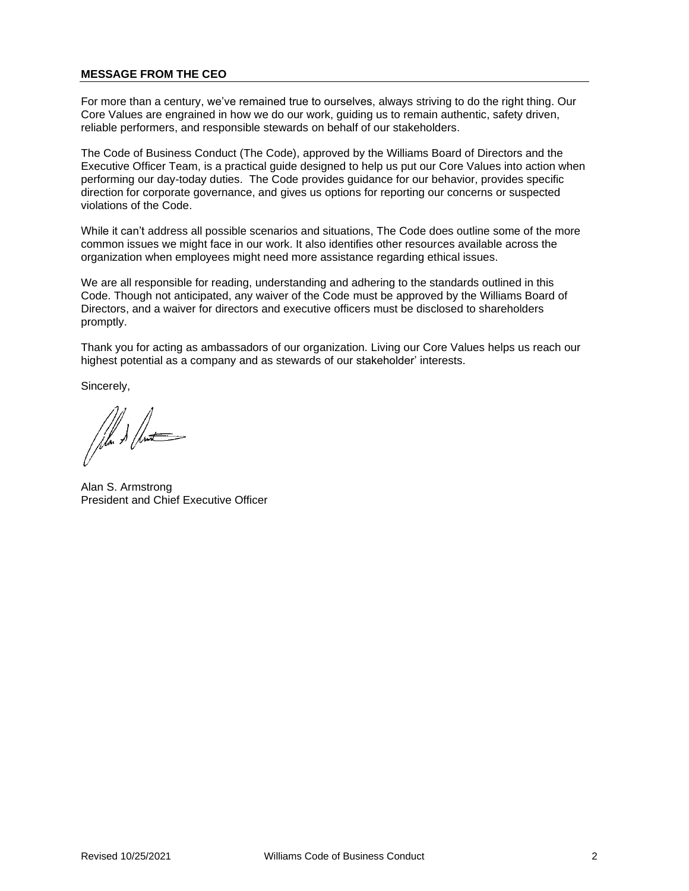# **MESSAGE FROM THE CEO**

For more than a century, we've remained true to ourselves, always striving to do the right thing. Our Core Values are engrained in how we do our work, guiding us to remain authentic, safety driven, reliable performers, and responsible stewards on behalf of our stakeholders.

The Code of Business Conduct (The Code), approved by the Williams Board of Directors and the Executive Officer Team, is a practical guide designed to help us put our Core Values into action when performing our day-today duties. The Code provides guidance for our behavior, provides specific direction for corporate governance, and gives us options for reporting our concerns or suspected violations of the Code.

While it can't address all possible scenarios and situations, The Code does outline some of the more common issues we might face in our work. It also identifies other resources available across the organization when employees might need more assistance regarding ethical issues.

We are all responsible for reading, understanding and adhering to the standards outlined in this Code. Though not anticipated, any waiver of the Code must be approved by the Williams Board of Directors, and a waiver for directors and executive officers must be disclosed to shareholders promptly.

Thank you for acting as ambassadors of our organization. Living our Core Values helps us reach our highest potential as a company and as stewards of our stakeholder' interests.

Sincerely,

Alan S. Armstrong President and Chief Executive Officer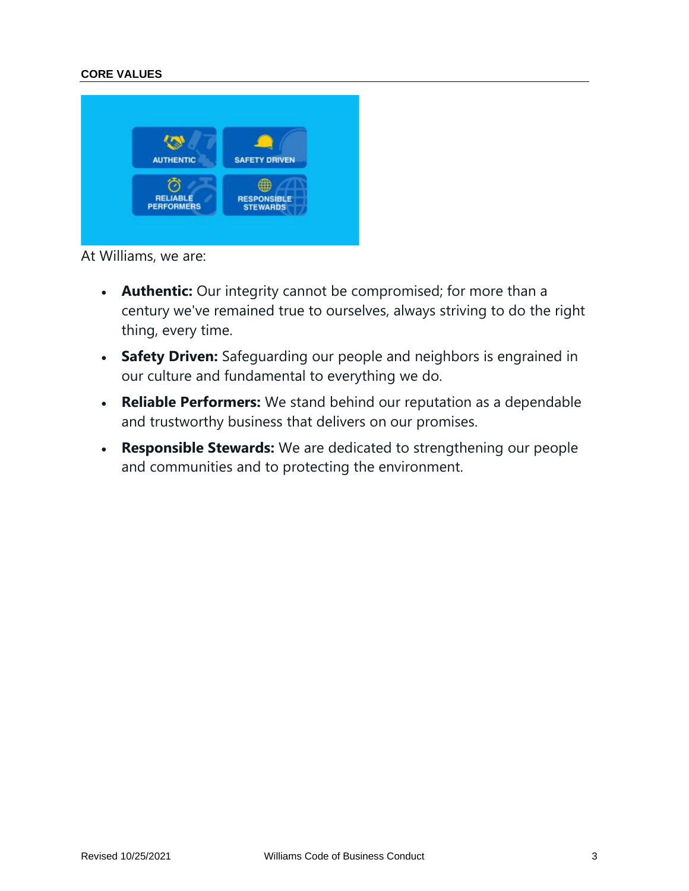# **CORE VALUES**



At Williams, we are:

- **Authentic:** Our integrity cannot be compromised; for more than a century we've remained true to ourselves, always striving to do the right thing, every time.
- **Safety Driven:** Safeguarding our people and neighbors is engrained in our culture and fundamental to everything we do.
- **Reliable Performers:** We stand behind our reputation as a dependable and trustworthy business that delivers on our promises.
- **Responsible Stewards:** We are dedicated to strengthening our people and communities and to protecting the environment.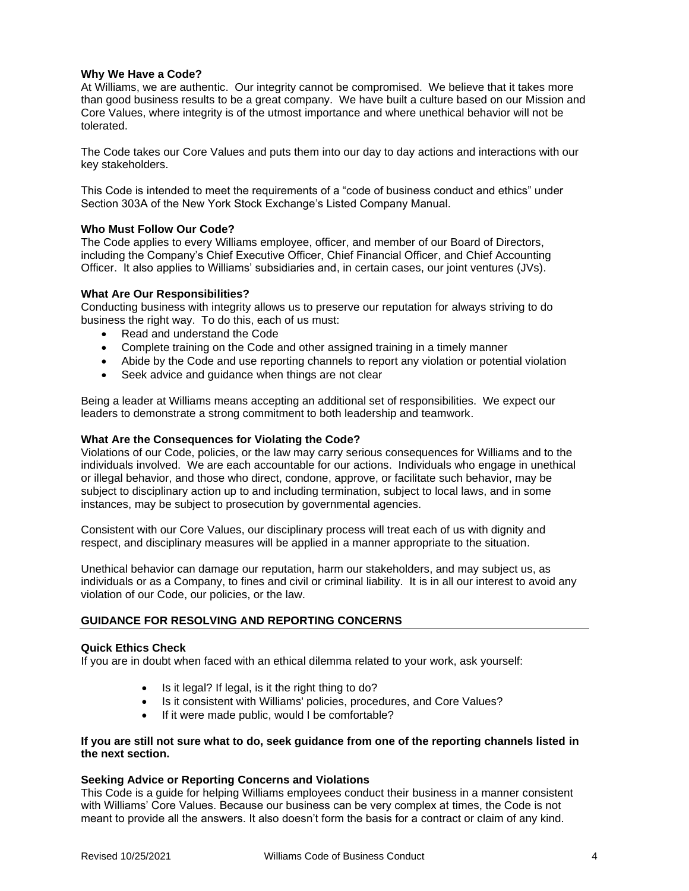# **Why We Have a Code?**

At Williams, we are authentic. Our integrity cannot be compromised. We believe that it takes more than good business results to be a great company. We have built a culture based on our Mission and Core Values, where integrity is of the utmost importance and where unethical behavior will not be tolerated.

The Code takes our Core Values and puts them into our day to day actions and interactions with our key stakeholders.

This Code is intended to meet the requirements of a "code of business conduct and ethics" under Section 303A of the New York Stock Exchange's Listed Company Manual.

#### **Who Must Follow Our Code?**

The Code applies to every Williams employee, officer, and member of our Board of Directors, including the Company's Chief Executive Officer, Chief Financial Officer, and Chief Accounting Officer. It also applies to Williams' subsidiaries and, in certain cases, our joint ventures (JVs).

#### **What Are Our Responsibilities?**

Conducting business with integrity allows us to preserve our reputation for always striving to do business the right way. To do this, each of us must:

- Read and understand the Code
- Complete training on the Code and other assigned training in a timely manner
- Abide by the Code and use reporting channels to report any violation or potential violation
- Seek advice and guidance when things are not clear

Being a leader at Williams means accepting an additional set of responsibilities. We expect our leaders to demonstrate a strong commitment to both leadership and teamwork.

# **What Are the Consequences for Violating the Code?**

Violations of our Code, policies, or the law may carry serious consequences for Williams and to the individuals involved. We are each accountable for our actions. Individuals who engage in unethical or illegal behavior, and those who direct, condone, approve, or facilitate such behavior, may be subject to disciplinary action up to and including termination, subject to local laws, and in some instances, may be subject to prosecution by governmental agencies.

Consistent with our Core Values, our disciplinary process will treat each of us with dignity and respect, and disciplinary measures will be applied in a manner appropriate to the situation.

Unethical behavior can damage our reputation, harm our stakeholders, and may subject us, as individuals or as a Company, to fines and civil or criminal liability. It is in all our interest to avoid any violation of our Code, our policies, or the law.

#### **GUIDANCE FOR RESOLVING AND REPORTING CONCERNS**

#### **Quick Ethics Check**

If you are in doubt when faced with an ethical dilemma related to your work, ask yourself:

- Is it legal? If legal, is it the right thing to do?
- Is it consistent with Williams' policies, procedures, and Core Values?
- If it were made public, would I be comfortable?

#### **If you are still not sure what to do, seek guidance from one of the reporting channels listed in the next section.**

#### **Seeking Advice or Reporting Concerns and Violations**

This Code is a guide for helping Williams employees conduct their business in a manner consistent with Williams' Core Values. Because our business can be very complex at times, the Code is not meant to provide all the answers. It also doesn't form the basis for a contract or claim of any kind.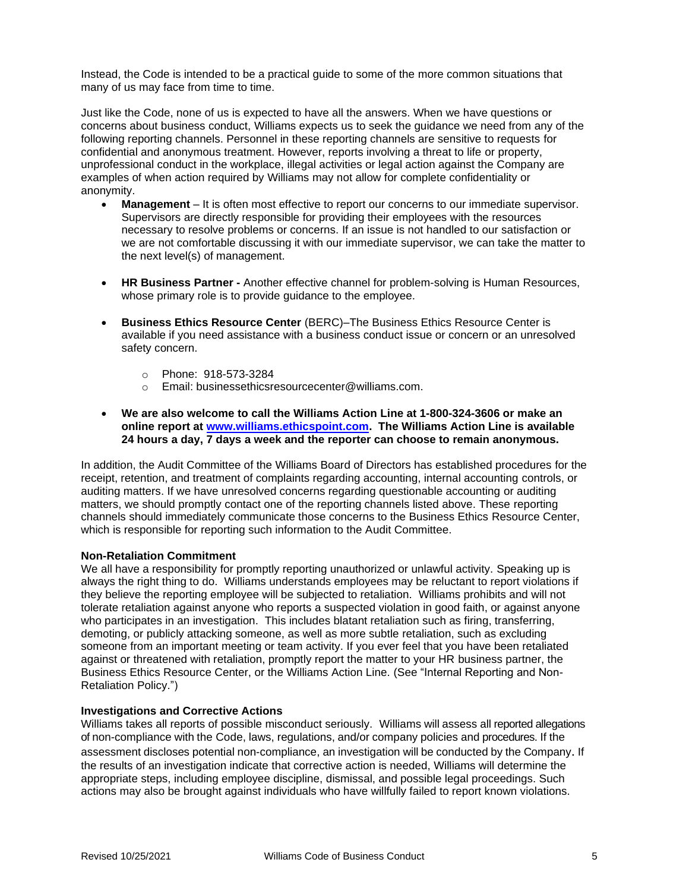Instead, the Code is intended to be a practical guide to some of the more common situations that many of us may face from time to time.

Just like the Code, none of us is expected to have all the answers. When we have questions or concerns about business conduct, Williams expects us to seek the guidance we need from any of the following reporting channels. Personnel in these reporting channels are sensitive to requests for confidential and anonymous treatment. However, reports involving a threat to life or property, unprofessional conduct in the workplace, illegal activities or legal action against the Company are examples of when action required by Williams may not allow for complete confidentiality or anonymity.

- **Management** It is often most effective to report our concerns to our immediate supervisor. Supervisors are directly responsible for providing their employees with the resources necessary to resolve problems or concerns. If an issue is not handled to our satisfaction or we are not comfortable discussing it with our immediate supervisor, we can take the matter to the next level(s) of management.
- **HR Business Partner -** Another effective channel for problem-solving is Human Resources, whose primary role is to provide guidance to the employee.
- **Business Ethics Resource Center** (BERC)–The Business Ethics Resource Center is available if you need assistance with a business conduct issue or concern or an unresolved safety concern.
	- o Phone: 918-573-3284
	- o Email: businessethicsresourcecenter@williams.com.
- **We are also welcome to call the Williams Action Line at 1-800-324-3606 or make an online report at [www.williams.ethicspoint.com.](http://www.williams.ethicspoint.com/) The Williams Action Line is available 24 hours a day, 7 days a week and the reporter can choose to remain anonymous.**

In addition, the Audit Committee of the Williams Board of Directors has established procedures for the receipt, retention, and treatment of complaints regarding accounting, internal accounting controls, or auditing matters. If we have unresolved concerns regarding questionable accounting or auditing matters, we should promptly contact one of the reporting channels listed above. These reporting channels should immediately communicate those concerns to the Business Ethics Resource Center, which is responsible for reporting such information to the Audit Committee.

#### **Non-Retaliation Commitment**

We all have a responsibility for promptly reporting unauthorized or unlawful activity. Speaking up is always the right thing to do. Williams understands employees may be reluctant to report violations if they believe the reporting employee will be subjected to retaliation. Williams prohibits and will not tolerate retaliation against anyone who reports a suspected violation in good faith, or against anyone who participates in an investigation. This includes blatant retaliation such as firing, transferring, demoting, or publicly attacking someone, as well as more subtle retaliation, such as excluding someone from an important meeting or team activity. If you ever feel that you have been retaliated against or threatened with retaliation, promptly report the matter to your HR business partner, the Business Ethics Resource Center, or the Williams Action Line. (See "Internal Reporting and Non-Retaliation Policy.")

#### **Investigations and Corrective Actions**

Williams takes all reports of possible misconduct seriously. Williams will assess all reported allegations of non-compliance with the Code, laws, regulations, and/or company policies and procedures. If the assessment discloses potential non-compliance, an investigation will be conducted by the Company. If the results of an investigation indicate that corrective action is needed, Williams will determine the appropriate steps, including employee discipline, dismissal, and possible legal proceedings. Such actions may also be brought against individuals who have willfully failed to report known violations.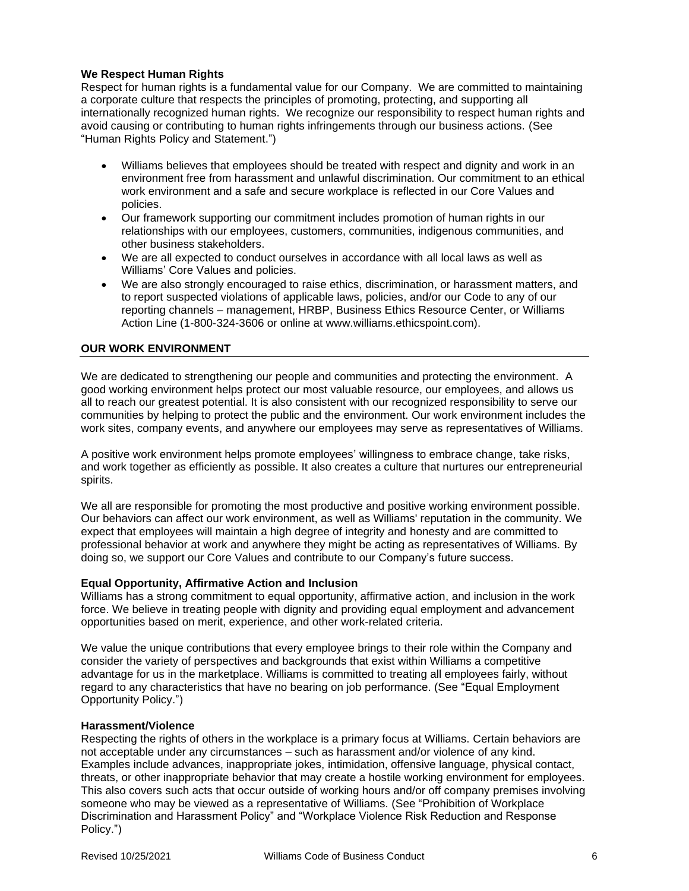# **We Respect Human Rights**

Respect for human rights is a fundamental value for our Company. We are committed to maintaining a corporate culture that respects the principles of promoting, protecting, and supporting all internationally recognized human rights. We recognize our responsibility to respect human rights and avoid causing or contributing to human rights infringements through our business actions. (See "Human Rights Policy and Statement.")

- Williams believes that employees should be treated with respect and dignity and work in an environment free from harassment and unlawful discrimination. Our commitment to an ethical work environment and a safe and secure workplace is reflected in our Core Values and policies.
- Our framework supporting our commitment includes promotion of human rights in our relationships with our employees, customers, communities, indigenous communities, and other business stakeholders.
- We are all expected to conduct ourselves in accordance with all local laws as well as Williams' Core Values and policies.
- We are also strongly encouraged to raise ethics, discrimination, or harassment matters, and to report suspected violations of applicable laws, policies, and/or our Code to any of our reporting channels – management, HRBP, Business Ethics Resource Center, or Williams Action Line (1-800-324-3606 or online at www.williams.ethicspoint.com).

# **OUR WORK ENVIRONMENT**

We are dedicated to strengthening our people and communities and protecting the environment. A good working environment helps protect our most valuable resource, our employees, and allows us all to reach our greatest potential. It is also consistent with our recognized responsibility to serve our communities by helping to protect the public and the environment. Our work environment includes the work sites, company events, and anywhere our employees may serve as representatives of Williams.

A positive work environment helps promote employees' willingness to embrace change, take risks, and work together as efficiently as possible. It also creates a culture that nurtures our entrepreneurial spirits.

We all are responsible for promoting the most productive and positive working environment possible. Our behaviors can affect our work environment, as well as Williams' reputation in the community. We expect that employees will maintain a high degree of integrity and honesty and are committed to professional behavior at work and anywhere they might be acting as representatives of Williams. By doing so, we support our Core Values and contribute to our Company's future success.

#### **Equal Opportunity, Affirmative Action and Inclusion**

Williams has a strong commitment to equal opportunity, affirmative action, and inclusion in the work force. We believe in treating people with dignity and providing equal employment and advancement opportunities based on merit, experience, and other work-related criteria.

We value the unique contributions that every employee brings to their role within the Company and consider the variety of perspectives and backgrounds that exist within Williams a competitive advantage for us in the marketplace. Williams is committed to treating all employees fairly, without regard to any characteristics that have no bearing on job performance. (See "Equal Employment Opportunity Policy.")

#### **Harassment/Violence**

Respecting the rights of others in the workplace is a primary focus at Williams. Certain behaviors are not acceptable under any circumstances – such as harassment and/or violence of any kind. Examples include advances, inappropriate jokes, intimidation, offensive language, physical contact, threats, or other inappropriate behavior that may create a hostile working environment for employees. This also covers such acts that occur outside of working hours and/or off company premises involving someone who may be viewed as a representative of Williams. (See "Prohibition of Workplace Discrimination and Harassment Policy" and "Workplace Violence Risk Reduction and Response Policy.")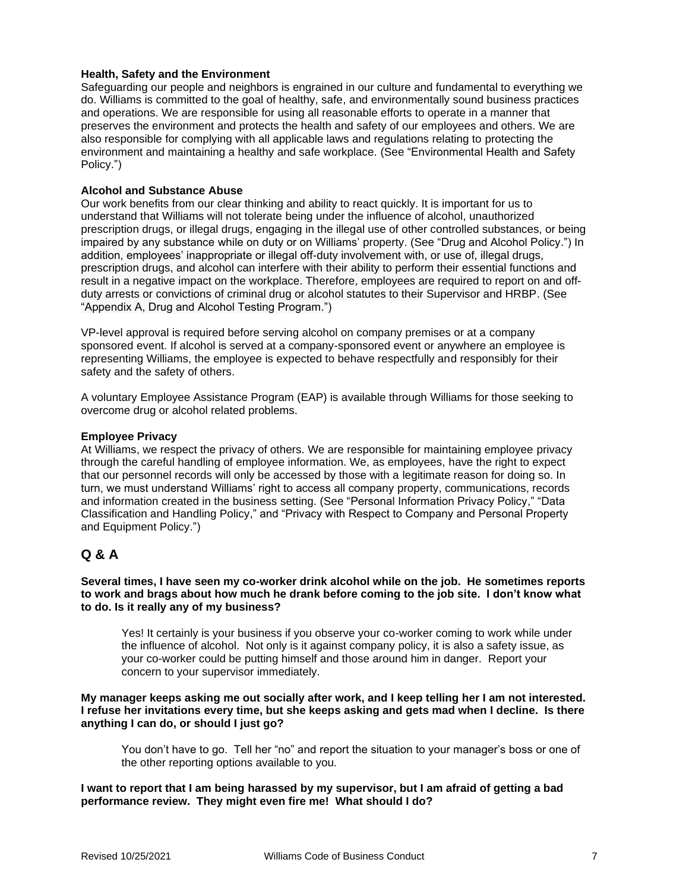# **Health, Safety and the Environment**

Safeguarding our people and neighbors is engrained in our culture and fundamental to everything we do. Williams is committed to the goal of healthy, safe, and environmentally sound business practices and operations. We are responsible for using all reasonable efforts to operate in a manner that preserves the environment and protects the health and safety of our employees and others. We are also responsible for complying with all applicable laws and regulations relating to protecting the environment and maintaining a healthy and safe workplace. (See "Environmental Health and Safety Policy.")

#### **Alcohol and Substance Abuse**

Our work benefits from our clear thinking and ability to react quickly. It is important for us to understand that Williams will not tolerate being under the influence of alcohol, unauthorized prescription drugs, or illegal drugs, engaging in the illegal use of other controlled substances, or being impaired by any substance while on duty or on Williams' property. (See "Drug and Alcohol Policy.") In addition, employees' inappropriate or illegal off-duty involvement with, or use of, illegal drugs, prescription drugs, and alcohol can interfere with their ability to perform their essential functions and result in a negative impact on the workplace. Therefore, employees are required to report on and offduty arrests or convictions of criminal drug or alcohol statutes to their Supervisor and HRBP. (See "Appendix A, Drug and Alcohol Testing Program.")

VP-level approval is required before serving alcohol on company premises or at a company sponsored event. If alcohol is served at a company-sponsored event or anywhere an employee is representing Williams, the employee is expected to behave respectfully and responsibly for their safety and the safety of others.

A voluntary Employee Assistance Program (EAP) is available through Williams for those seeking to overcome drug or alcohol related problems.

#### **Employee Privacy**

At Williams, we respect the privacy of others. We are responsible for maintaining employee privacy through the careful handling of employee information. We, as employees, have the right to expect that our personnel records will only be accessed by those with a legitimate reason for doing so. In turn, we must understand Williams' right to access all company property, communications, records and information created in the business setting. (See "Personal Information Privacy Policy," "Data Classification and Handling Policy," and "Privacy with Respect to Company and Personal Property and Equipment Policy.")

# **Q & A**

**Several times, I have seen my co-worker drink alcohol while on the job. He sometimes reports to work and brags about how much he drank before coming to the job site. I don't know what to do. Is it really any of my business?**

Yes! It certainly is your business if you observe your co-worker coming to work while under the influence of alcohol. Not only is it against company policy, it is also a safety issue, as your co-worker could be putting himself and those around him in danger. Report your concern to your supervisor immediately.

#### **My manager keeps asking me out socially after work, and I keep telling her I am not interested. I refuse her invitations every time, but she keeps asking and gets mad when I decline. Is there anything I can do, or should I just go?**

You don't have to go. Tell her "no" and report the situation to your manager's boss or one of the other reporting options available to you.

# **I want to report that I am being harassed by my supervisor, but I am afraid of getting a bad performance review. They might even fire me! What should I do?**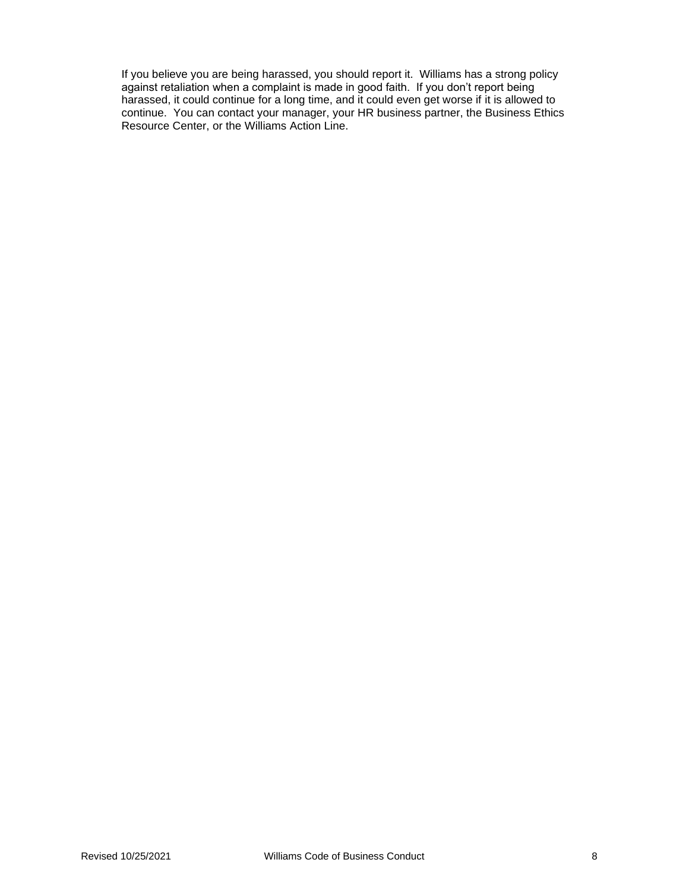If you believe you are being harassed, you should report it. Williams has a strong policy against retaliation when a complaint is made in good faith. If you don't report being harassed, it could continue for a long time, and it could even get worse if it is allowed to continue. You can contact your manager, your HR business partner, the Business Ethics Resource Center, or the Williams Action Line.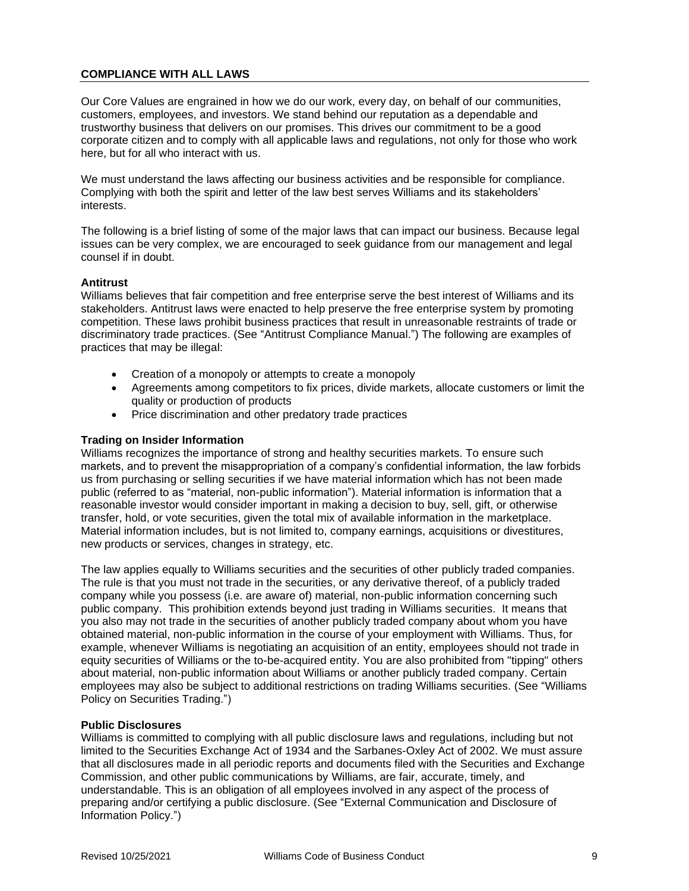# **COMPLIANCE WITH ALL LAWS**

Our Core Values are engrained in how we do our work, every day, on behalf of our communities, customers, employees, and investors. We stand behind our reputation as a dependable and trustworthy business that delivers on our promises. This drives our commitment to be a good corporate citizen and to comply with all applicable laws and regulations, not only for those who work here, but for all who interact with us.

We must understand the laws affecting our business activities and be responsible for compliance. Complying with both the spirit and letter of the law best serves Williams and its stakeholders' interests.

The following is a brief listing of some of the major laws that can impact our business. Because legal issues can be very complex, we are encouraged to seek guidance from our management and legal counsel if in doubt.

#### **Antitrust**

Williams believes that fair competition and free enterprise serve the best interest of Williams and its stakeholders. Antitrust laws were enacted to help preserve the free enterprise system by promoting competition. These laws prohibit business practices that result in unreasonable restraints of trade or discriminatory trade practices. (See "Antitrust Compliance Manual.") The following are examples of practices that may be illegal:

- Creation of a monopoly or attempts to create a monopoly
- Agreements among competitors to fix prices, divide markets, allocate customers or limit the quality or production of products
- Price discrimination and other predatory trade practices

#### **Trading on Insider Information**

Williams recognizes the importance of strong and healthy securities markets. To ensure such markets, and to prevent the misappropriation of a company's confidential information, the law forbids us from purchasing or selling securities if we have material information which has not been made public (referred to as "material, non-public information"). Material information is information that a reasonable investor would consider important in making a decision to buy, sell, gift, or otherwise transfer, hold, or vote securities, given the total mix of available information in the marketplace. Material information includes, but is not limited to, company earnings, acquisitions or divestitures, new products or services, changes in strategy, etc.

The law applies equally to Williams securities and the securities of other publicly traded companies. The rule is that you must not trade in the securities, or any derivative thereof, of a publicly traded company while you possess (i.e. are aware of) material, non-public information concerning such public company. This prohibition extends beyond just trading in Williams securities. It means that you also may not trade in the securities of another publicly traded company about whom you have obtained material, non-public information in the course of your employment with Williams. Thus, for example, whenever Williams is negotiating an acquisition of an entity, employees should not trade in equity securities of Williams or the to-be-acquired entity. You are also prohibited from "tipping" others about material, non-public information about Williams or another publicly traded company. Certain employees may also be subject to additional restrictions on trading Williams securities. (See "Williams Policy on Securities Trading.")

#### **Public Disclosures**

Williams is committed to complying with all public disclosure laws and regulations, including but not limited to the Securities Exchange Act of 1934 and the Sarbanes-Oxley Act of 2002. We must assure that all disclosures made in all periodic reports and documents filed with the Securities and Exchange Commission, and other public communications by Williams, are fair, accurate, timely, and understandable. This is an obligation of all employees involved in any aspect of the process of preparing and/or certifying a public disclosure. (See "External Communication and Disclosure of Information Policy.")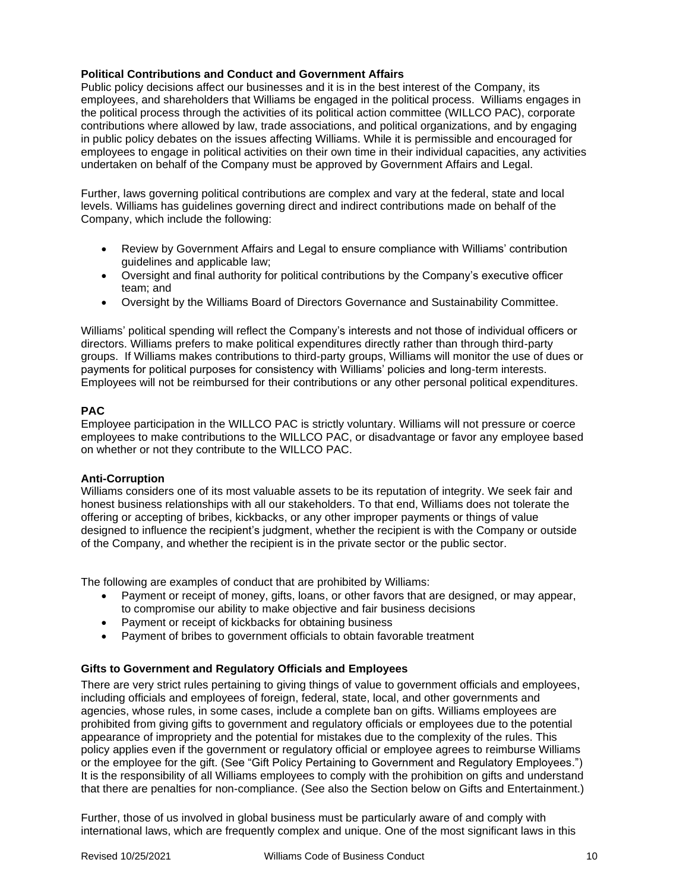# **Political Contributions and Conduct and Government Affairs**

Public policy decisions affect our businesses and it is in the best interest of the Company, its employees, and shareholders that Williams be engaged in the political process. Williams engages in the political process through the activities of its political action committee (WILLCO PAC), corporate contributions where allowed by law, trade associations, and political organizations, and by engaging in public policy debates on the issues affecting Williams. While it is permissible and encouraged for employees to engage in political activities on their own time in their individual capacities, any activities undertaken on behalf of the Company must be approved by Government Affairs and Legal.

Further, laws governing political contributions are complex and vary at the federal, state and local levels. Williams has guidelines governing direct and indirect contributions made on behalf of the Company, which include the following:

- Review by Government Affairs and Legal to ensure compliance with Williams' contribution guidelines and applicable law;
- Oversight and final authority for political contributions by the Company's executive officer team; and
- Oversight by the Williams Board of Directors Governance and Sustainability Committee.

Williams' political spending will reflect the Company's interests and not those of individual officers or directors. Williams prefers to make political expenditures directly rather than through third-party groups. If Williams makes contributions to third-party groups, Williams will monitor the use of dues or payments for political purposes for consistency with Williams' policies and long-term interests. Employees will not be reimbursed for their contributions or any other personal political expenditures.

# **PAC**

Employee participation in the WILLCO PAC is strictly voluntary. Williams will not pressure or coerce employees to make contributions to the WILLCO PAC, or disadvantage or favor any employee based on whether or not they contribute to the WILLCO PAC.

#### **Anti-Corruption**

Williams considers one of its most valuable assets to be its reputation of integrity. We seek fair and honest business relationships with all our stakeholders. To that end, Williams does not tolerate the offering or accepting of bribes, kickbacks, or any other improper payments or things of value designed to influence the recipient's judgment, whether the recipient is with the Company or outside of the Company, and whether the recipient is in the private sector or the public sector.

The following are examples of conduct that are prohibited by Williams:

- Payment or receipt of money, gifts, loans, or other favors that are designed, or may appear, to compromise our ability to make objective and fair business decisions
- Payment or receipt of kickbacks for obtaining business
- Payment of bribes to government officials to obtain favorable treatment

# **Gifts to Government and Regulatory Officials and Employees**

There are very strict rules pertaining to giving things of value to government officials and employees, including officials and employees of foreign, federal, state, local, and other governments and agencies, whose rules, in some cases, include a complete ban on gifts. Williams employees are prohibited from giving gifts to government and regulatory officials or employees due to the potential appearance of impropriety and the potential for mistakes due to the complexity of the rules. This policy applies even if the government or regulatory official or employee agrees to reimburse Williams or the employee for the gift. (See "Gift Policy Pertaining to Government and Regulatory Employees.") It is the responsibility of all Williams employees to comply with the prohibition on gifts and understand that there are penalties for non-compliance. (See also the Section below on Gifts and Entertainment.)

Further, those of us involved in global business must be particularly aware of and comply with international laws, which are frequently complex and unique. One of the most significant laws in this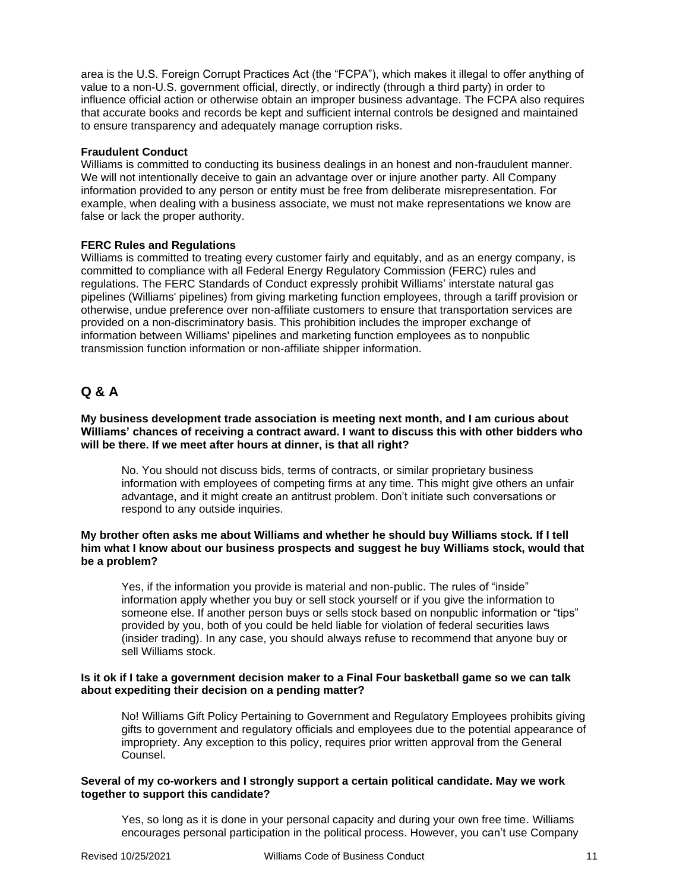area is the U.S. Foreign Corrupt Practices Act (the "FCPA"), which makes it illegal to offer anything of value to a non-U.S. government official, directly, or indirectly (through a third party) in order to influence official action or otherwise obtain an improper business advantage. The FCPA also requires that accurate books and records be kept and sufficient internal controls be designed and maintained to ensure transparency and adequately manage corruption risks.

#### **Fraudulent Conduct**

Williams is committed to conducting its business dealings in an honest and non-fraudulent manner. We will not intentionally deceive to gain an advantage over or injure another party. All Company information provided to any person or entity must be free from deliberate misrepresentation. For example, when dealing with a business associate, we must not make representations we know are false or lack the proper authority.

#### **FERC Rules and Regulations**

Williams is committed to treating every customer fairly and equitably, and as an energy company, is committed to compliance with all Federal Energy Regulatory Commission (FERC) rules and regulations. The FERC Standards of Conduct expressly prohibit Williams' interstate natural gas pipelines (Williams' pipelines) from giving marketing function employees, through a tariff provision or otherwise, undue preference over non-affiliate customers to ensure that transportation services are provided on a non-discriminatory basis. This prohibition includes the improper exchange of information between Williams' pipelines and marketing function employees as to nonpublic transmission function information or non-affiliate shipper information.

# **Q & A**

**My business development trade association is meeting next month, and I am curious about Williams' chances of receiving a contract award. I want to discuss this with other bidders who will be there. If we meet after hours at dinner, is that all right?**

No. You should not discuss bids, terms of contracts, or similar proprietary business information with employees of competing firms at any time. This might give others an unfair advantage, and it might create an antitrust problem. Don't initiate such conversations or respond to any outside inquiries.

#### **My brother often asks me about Williams and whether he should buy Williams stock. If I tell him what I know about our business prospects and suggest he buy Williams stock, would that be a problem?**

Yes, if the information you provide is material and non-public. The rules of "inside" information apply whether you buy or sell stock yourself or if you give the information to someone else. If another person buys or sells stock based on nonpublic information or "tips" provided by you, both of you could be held liable for violation of federal securities laws (insider trading). In any case, you should always refuse to recommend that anyone buy or sell Williams stock.

#### **Is it ok if I take a government decision maker to a Final Four basketball game so we can talk about expediting their decision on a pending matter?**

No! Williams Gift Policy Pertaining to Government and Regulatory Employees prohibits giving gifts to government and regulatory officials and employees due to the potential appearance of impropriety. Any exception to this policy, requires prior written approval from the General Counsel.

#### **Several of my co-workers and I strongly support a certain political candidate. May we work together to support this candidate?**

Yes, so long as it is done in your personal capacity and during your own free time. Williams encourages personal participation in the political process. However, you can't use Company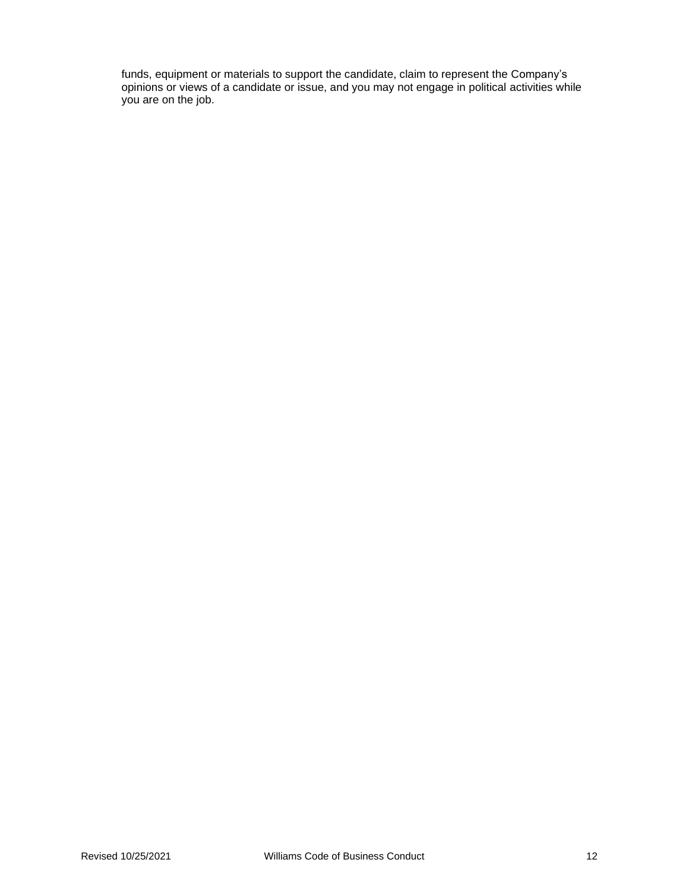funds, equipment or materials to support the candidate, claim to represent the Company's opinions or views of a candidate or issue, and you may not engage in political activities while you are on the job.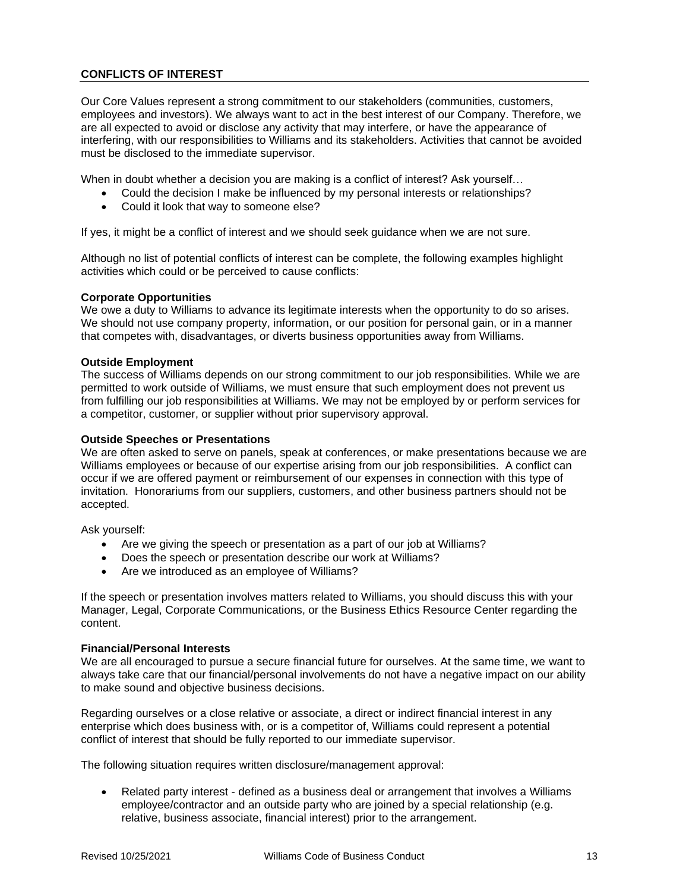# **CONFLICTS OF INTEREST**

Our Core Values represent a strong commitment to our stakeholders (communities, customers, employees and investors). We always want to act in the best interest of our Company. Therefore, we are all expected to avoid or disclose any activity that may interfere, or have the appearance of interfering, with our responsibilities to Williams and its stakeholders. Activities that cannot be avoided must be disclosed to the immediate supervisor.

When in doubt whether a decision you are making is a conflict of interest? Ask yourself...

- Could the decision I make be influenced by my personal interests or relationships?
- Could it look that way to someone else?

If yes, it might be a conflict of interest and we should seek guidance when we are not sure.

Although no list of potential conflicts of interest can be complete, the following examples highlight activities which could or be perceived to cause conflicts:

#### **Corporate Opportunities**

We owe a duty to Williams to advance its legitimate interests when the opportunity to do so arises. We should not use company property, information, or our position for personal gain, or in a manner that competes with, disadvantages, or diverts business opportunities away from Williams.

#### **Outside Employment**

The success of Williams depends on our strong commitment to our job responsibilities. While we are permitted to work outside of Williams, we must ensure that such employment does not prevent us from fulfilling our job responsibilities at Williams. We may not be employed by or perform services for a competitor, customer, or supplier without prior supervisory approval.

#### **Outside Speeches or Presentations**

We are often asked to serve on panels, speak at conferences, or make presentations because we are Williams employees or because of our expertise arising from our job responsibilities. A conflict can occur if we are offered payment or reimbursement of our expenses in connection with this type of invitation. Honorariums from our suppliers, customers, and other business partners should not be accepted.

Ask yourself:

- Are we giving the speech or presentation as a part of our job at Williams?
- Does the speech or presentation describe our work at Williams?
- Are we introduced as an employee of Williams?

If the speech or presentation involves matters related to Williams, you should discuss this with your Manager, Legal, Corporate Communications, or the Business Ethics Resource Center regarding the content.

#### **Financial/Personal Interests**

We are all encouraged to pursue a secure financial future for ourselves. At the same time, we want to always take care that our financial/personal involvements do not have a negative impact on our ability to make sound and objective business decisions.

Regarding ourselves or a close relative or associate, a direct or indirect financial interest in any enterprise which does business with, or is a competitor of, Williams could represent a potential conflict of interest that should be fully reported to our immediate supervisor.

The following situation requires written disclosure/management approval:

• Related party interest - defined as a business deal or arrangement that involves a Williams employee/contractor and an outside party who are joined by a special relationship (e.g. relative, business associate, financial interest) prior to the arrangement.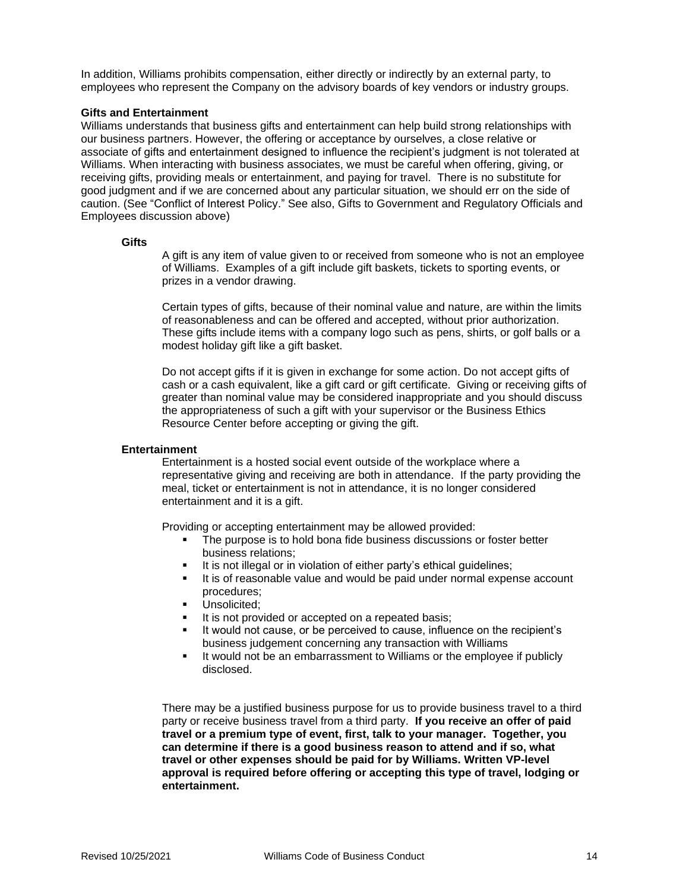In addition, Williams prohibits compensation, either directly or indirectly by an external party, to employees who represent the Company on the advisory boards of key vendors or industry groups.

#### **Gifts and Entertainment**

Williams understands that business gifts and entertainment can help build strong relationships with our business partners. However, the offering or acceptance by ourselves, a close relative or associate of gifts and entertainment designed to influence the recipient's judgment is not tolerated at Williams. When interacting with business associates, we must be careful when offering, giving, or receiving gifts, providing meals or entertainment, and paying for travel. There is no substitute for good judgment and if we are concerned about any particular situation, we should err on the side of caution. (See "Conflict of Interest Policy." See also, Gifts to Government and Regulatory Officials and Employees discussion above)

#### **Gifts**

A gift is any item of value given to or received from someone who is not an employee of Williams. Examples of a gift include gift baskets, tickets to sporting events, or prizes in a vendor drawing.

Certain types of gifts, because of their nominal value and nature, are within the limits of reasonableness and can be offered and accepted, without prior authorization. These gifts include items with a company logo such as pens, shirts, or golf balls or a modest holiday gift like a gift basket.

Do not accept gifts if it is given in exchange for some action. Do not accept gifts of cash or a cash equivalent, like a gift card or gift certificate. Giving or receiving gifts of greater than nominal value may be considered inappropriate and you should discuss the appropriateness of such a gift with your supervisor or the Business Ethics Resource Center before accepting or giving the gift.

#### **Entertainment**

Entertainment is a hosted social event outside of the workplace where a representative giving and receiving are both in attendance. If the party providing the meal, ticket or entertainment is not in attendance, it is no longer considered entertainment and it is a gift.

Providing or accepting entertainment may be allowed provided:

- The purpose is to hold bona fide business discussions or foster better business relations;
- It is not illegal or in violation of either party's ethical guidelines;
- It is of reasonable value and would be paid under normal expense account procedures;
- Unsolicited:
- It is not provided or accepted on a repeated basis;
- It would not cause, or be perceived to cause, influence on the recipient's business judgement concerning any transaction with Williams
- It would not be an embarrassment to Williams or the employee if publicly disclosed.

There may be a justified business purpose for us to provide business travel to a third party or receive business travel from a third party. **If you receive an offer of paid travel or a premium type of event, first, talk to your manager. Together, you can determine if there is a good business reason to attend and if so, what travel or other expenses should be paid for by Williams. Written VP-level approval is required before offering or accepting this type of travel, lodging or entertainment.**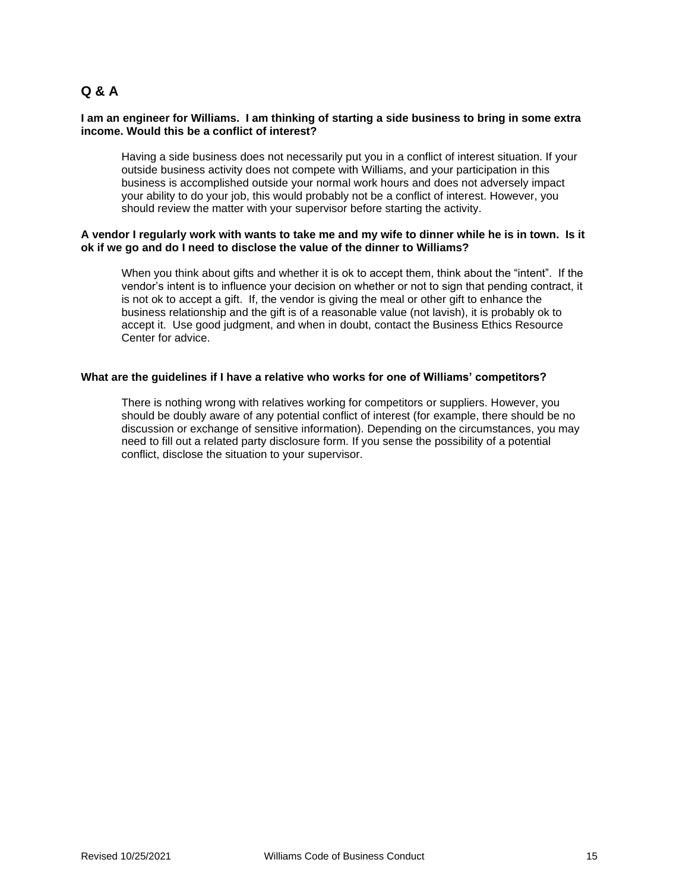# **Q & A**

#### **I am an engineer for Williams. I am thinking of starting a side business to bring in some extra income. Would this be a conflict of interest?**

Having a side business does not necessarily put you in a conflict of interest situation. If your outside business activity does not compete with Williams, and your participation in this business is accomplished outside your normal work hours and does not adversely impact your ability to do your job, this would probably not be a conflict of interest. However, you should review the matter with your supervisor before starting the activity.

#### **A vendor I regularly work with wants to take me and my wife to dinner while he is in town. Is it ok if we go and do I need to disclose the value of the dinner to Williams?**

When you think about gifts and whether it is ok to accept them, think about the "intent". If the vendor's intent is to influence your decision on whether or not to sign that pending contract, it is not ok to accept a gift. If, the vendor is giving the meal or other gift to enhance the business relationship and the gift is of a reasonable value (not lavish), it is probably ok to accept it. Use good judgment, and when in doubt, contact the Business Ethics Resource Center for advice.

#### **What are the guidelines if I have a relative who works for one of Williams' competitors?**

There is nothing wrong with relatives working for competitors or suppliers. However, you should be doubly aware of any potential conflict of interest (for example, there should be no discussion or exchange of sensitive information). Depending on the circumstances, you may need to fill out a related party disclosure form. If you sense the possibility of a potential conflict, disclose the situation to your supervisor.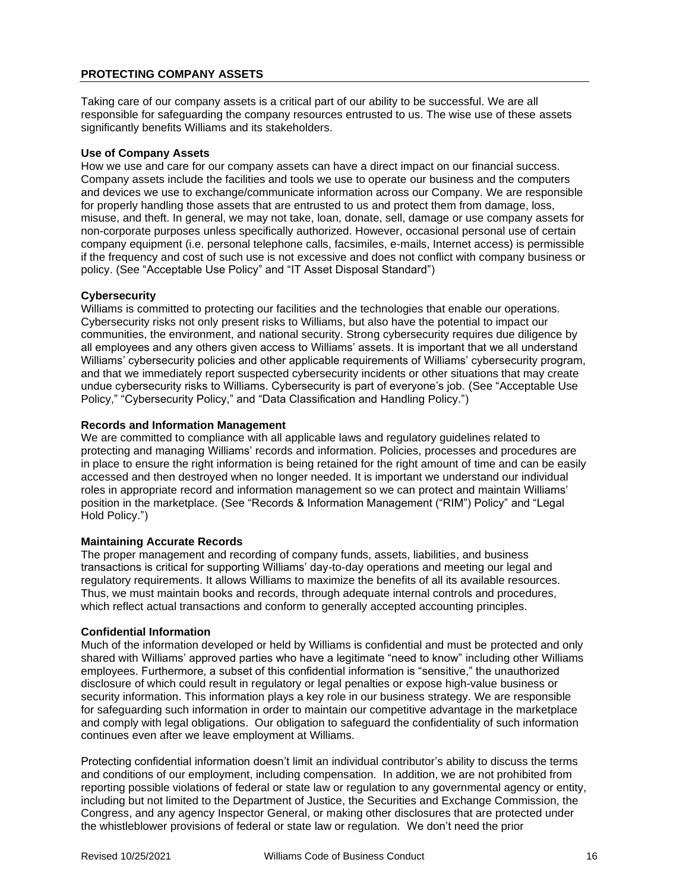# **PROTECTING COMPANY ASSETS**

Taking care of our company assets is a critical part of our ability to be successful. We are all responsible for safeguarding the company resources entrusted to us. The wise use of these assets significantly benefits Williams and its stakeholders.

# **Use of Company Assets**

How we use and care for our company assets can have a direct impact on our financial success. Company assets include the facilities and tools we use to operate our business and the computers and devices we use to exchange/communicate information across our Company. We are responsible for properly handling those assets that are entrusted to us and protect them from damage, loss, misuse, and theft. In general, we may not take, loan, donate, sell, damage or use company assets for non-corporate purposes unless specifically authorized. However, occasional personal use of certain company equipment (i.e. personal telephone calls, facsimiles, e-mails, Internet access) is permissible if the frequency and cost of such use is not excessive and does not conflict with company business or policy. (See "Acceptable Use Policy" and "IT Asset Disposal Standard")

#### **Cybersecurity**

Williams is committed to protecting our facilities and the technologies that enable our operations. Cybersecurity risks not only present risks to Williams, but also have the potential to impact our communities, the environment, and national security. Strong cybersecurity requires due diligence by all employees and any others given access to Williams' assets. It is important that we all understand Williams' cybersecurity policies and other applicable requirements of Williams' cybersecurity program, and that we immediately report suspected cybersecurity incidents or other situations that may create undue cybersecurity risks to Williams. Cybersecurity is part of everyone's job. (See "Acceptable Use Policy," "Cybersecurity Policy," and "Data Classification and Handling Policy.")

# **Records and Information Management**

We are committed to compliance with all applicable laws and regulatory guidelines related to protecting and managing Williams' records and information. Policies, processes and procedures are in place to ensure the right information is being retained for the right amount of time and can be easily accessed and then destroyed when no longer needed. It is important we understand our individual roles in appropriate record and information management so we can protect and maintain Williams' position in the marketplace. (See "Records & Information Management ("RIM") Policy" and "Legal Hold Policy.")

#### **Maintaining Accurate Records**

The proper management and recording of company funds, assets, liabilities, and business transactions is critical for supporting Williams' day-to-day operations and meeting our legal and regulatory requirements. It allows Williams to maximize the benefits of all its available resources. Thus, we must maintain books and records, through adequate internal controls and procedures, which reflect actual transactions and conform to generally accepted accounting principles.

#### **Confidential Information**

Much of the information developed or held by Williams is confidential and must be protected and only shared with Williams' approved parties who have a legitimate "need to know" including other Williams employees. Furthermore, a subset of this confidential information is "sensitive," the unauthorized disclosure of which could result in regulatory or legal penalties or expose high-value business or security information. This information plays a key role in our business strategy. We are responsible for safeguarding such information in order to maintain our competitive advantage in the marketplace and comply with legal obligations. Our obligation to safeguard the confidentiality of such information continues even after we leave employment at Williams.

Protecting confidential information doesn't limit an individual contributor's ability to discuss the terms and conditions of our employment, including compensation. In addition, we are not prohibited from reporting possible violations of federal or state law or regulation to any governmental agency or entity, including but not limited to the Department of Justice, the Securities and Exchange Commission, the Congress, and any agency Inspector General, or making other disclosures that are protected under the whistleblower provisions of federal or state law or regulation. We don't need the prior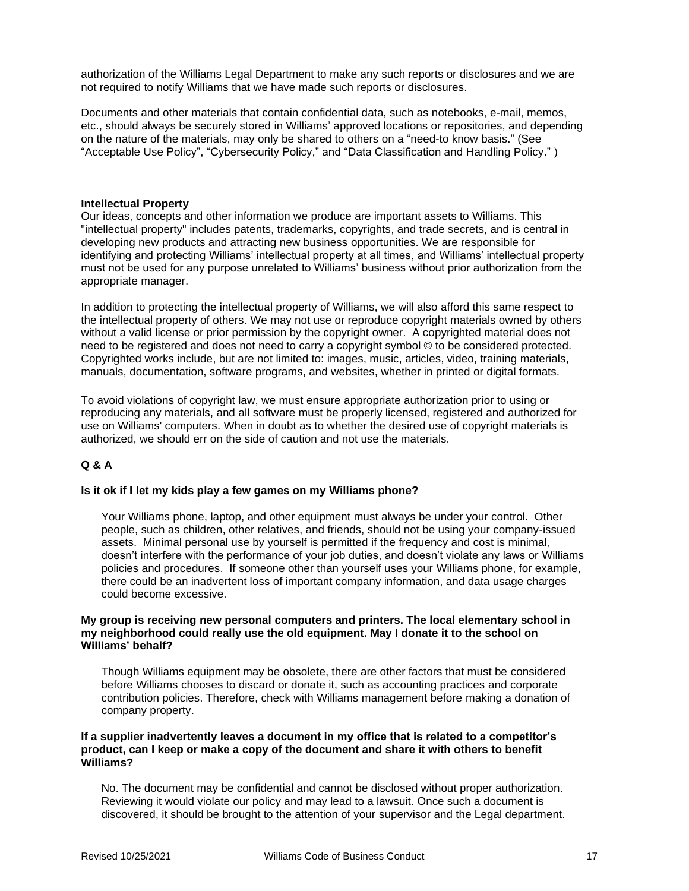authorization of the Williams Legal Department to make any such reports or disclosures and we are not required to notify Williams that we have made such reports or disclosures.

Documents and other materials that contain confidential data, such as notebooks, e-mail, memos, etc., should always be securely stored in Williams' approved locations or repositories, and depending on the nature of the materials, may only be shared to others on a "need-to know basis." (See "Acceptable Use Policy", "Cybersecurity Policy," and "Data Classification and Handling Policy." )

#### **Intellectual Property**

Our ideas, concepts and other information we produce are important assets to Williams. This "intellectual property" includes patents, trademarks, copyrights, and trade secrets, and is central in developing new products and attracting new business opportunities. We are responsible for identifying and protecting Williams' intellectual property at all times, and Williams' intellectual property must not be used for any purpose unrelated to Williams' business without prior authorization from the appropriate manager.

In addition to protecting the intellectual property of Williams, we will also afford this same respect to the intellectual property of others. We may not use or reproduce copyright materials owned by others without a valid license or prior permission by the copyright owner. A copyrighted material does not need to be registered and does not need to carry a copyright symbol © to be considered protected. Copyrighted works include, but are not limited to: images, music, articles, video, training materials, manuals, documentation, software programs, and websites, whether in printed or digital formats.

To avoid violations of copyright law, we must ensure appropriate authorization prior to using or reproducing any materials, and all software must be properly licensed, registered and authorized for use on Williams' computers. When in doubt as to whether the desired use of copyright materials is authorized, we should err on the side of caution and not use the materials.

#### **Q & A**

#### **Is it ok if I let my kids play a few games on my Williams phone?**

Your Williams phone, laptop, and other equipment must always be under your control. Other people, such as children, other relatives, and friends, should not be using your company-issued assets. Minimal personal use by yourself is permitted if the frequency and cost is minimal, doesn't interfere with the performance of your job duties, and doesn't violate any laws or Williams policies and procedures. If someone other than yourself uses your Williams phone, for example, there could be an inadvertent loss of important company information, and data usage charges could become excessive.

#### **My group is receiving new personal computers and printers. The local elementary school in my neighborhood could really use the old equipment. May I donate it to the school on Williams' behalf?**

Though Williams equipment may be obsolete, there are other factors that must be considered before Williams chooses to discard or donate it, such as accounting practices and corporate contribution policies. Therefore, check with Williams management before making a donation of company property.

#### **If a supplier inadvertently leaves a document in my office that is related to a competitor's product, can I keep or make a copy of the document and share it with others to benefit Williams?**

No. The document may be confidential and cannot be disclosed without proper authorization. Reviewing it would violate our policy and may lead to a lawsuit. Once such a document is discovered, it should be brought to the attention of your supervisor and the Legal department.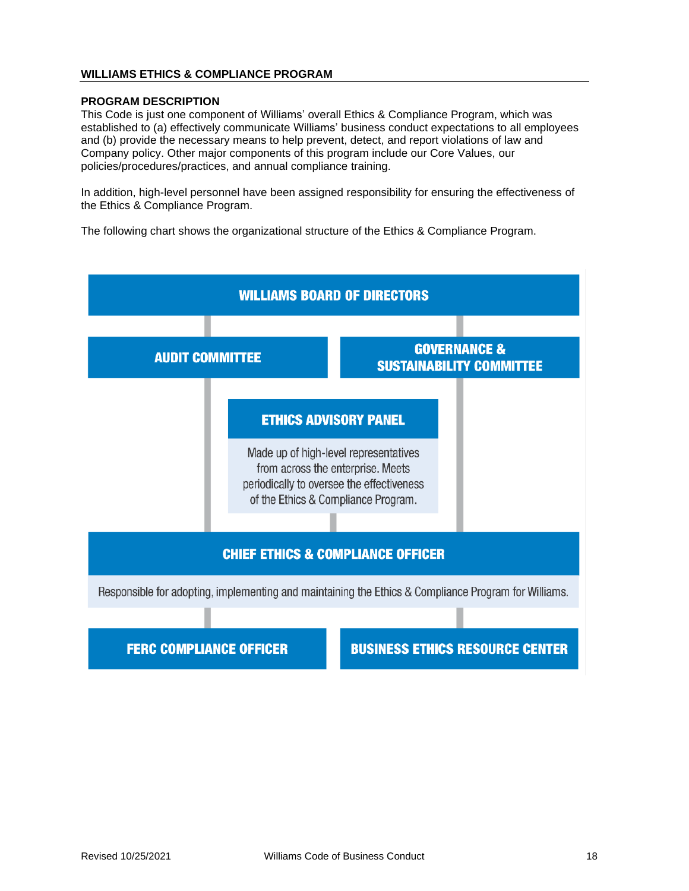# **WILLIAMS ETHICS & COMPLIANCE PROGRAM**

#### **PROGRAM DESCRIPTION**

This Code is just one component of Williams' overall Ethics & Compliance Program, which was established to (a) effectively communicate Williams' business conduct expectations to all employees and (b) provide the necessary means to help prevent, detect, and report violations of law and Company policy. Other major components of this program include our Core Values, our policies/procedures/practices, and annual compliance training.

In addition, high-level personnel have been assigned responsibility for ensuring the effectiveness of the Ethics & Compliance Program.

The following chart shows the organizational structure of the Ethics & Compliance Program.